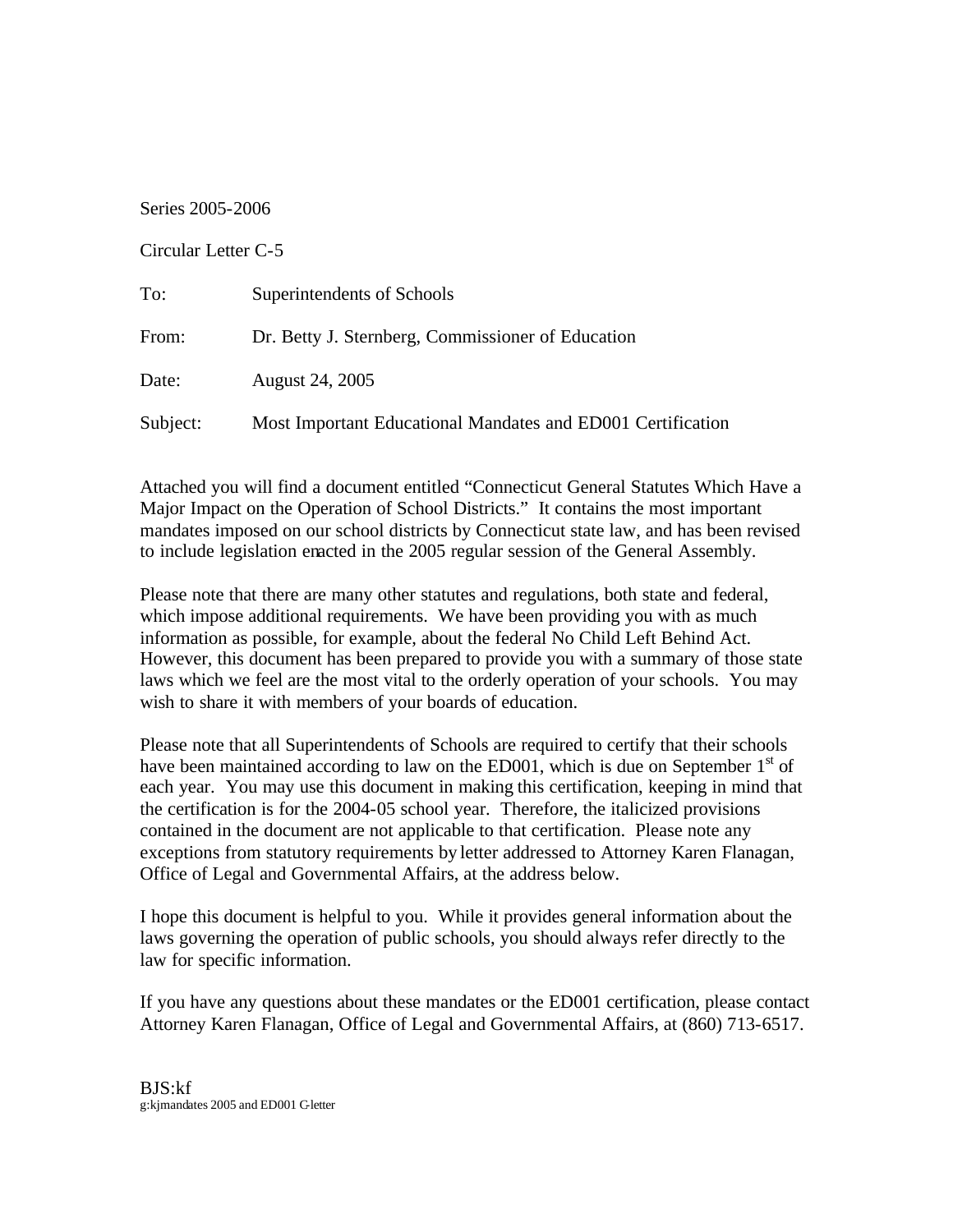Series 2005-2006

## Circular Letter C-5

| To:      | Superintendents of Schools                                  |
|----------|-------------------------------------------------------------|
| From:    | Dr. Betty J. Sternberg, Commissioner of Education           |
| Date:    | August 24, 2005                                             |
| Subject: | Most Important Educational Mandates and ED001 Certification |

Attached you will find a document entitled "Connecticut General Statutes Which Have a Major Impact on the Operation of School Districts." It contains the most important mandates imposed on our school districts by Connecticut state law, and has been revised to include legislation enacted in the 2005 regular session of the General Assembly.

Please note that there are many other statutes and regulations, both state and federal, which impose additional requirements. We have been providing you with as much information as possible, for example, about the federal No Child Left Behind Act. However, this document has been prepared to provide you with a summary of those state laws which we feel are the most vital to the orderly operation of your schools. You may wish to share it with members of your boards of education.

Please note that all Superintendents of Schools are required to certify that their schools have been maintained according to law on the ED001, which is due on September  $1<sup>st</sup>$  of each year. You may use this document in making this certification, keeping in mind that the certification is for the 2004-05 school year. Therefore, the italicized provisions contained in the document are not applicable to that certification. Please note any exceptions from statutory requirements by letter addressed to Attorney Karen Flanagan, Office of Legal and Governmental Affairs, at the address below.

I hope this document is helpful to you. While it provides general information about the laws governing the operation of public schools, you should always refer directly to the law for specific information.

If you have any questions about these mandates or the ED001 certification, please contact Attorney Karen Flanagan, Office of Legal and Governmental Affairs, at (860) 713-6517.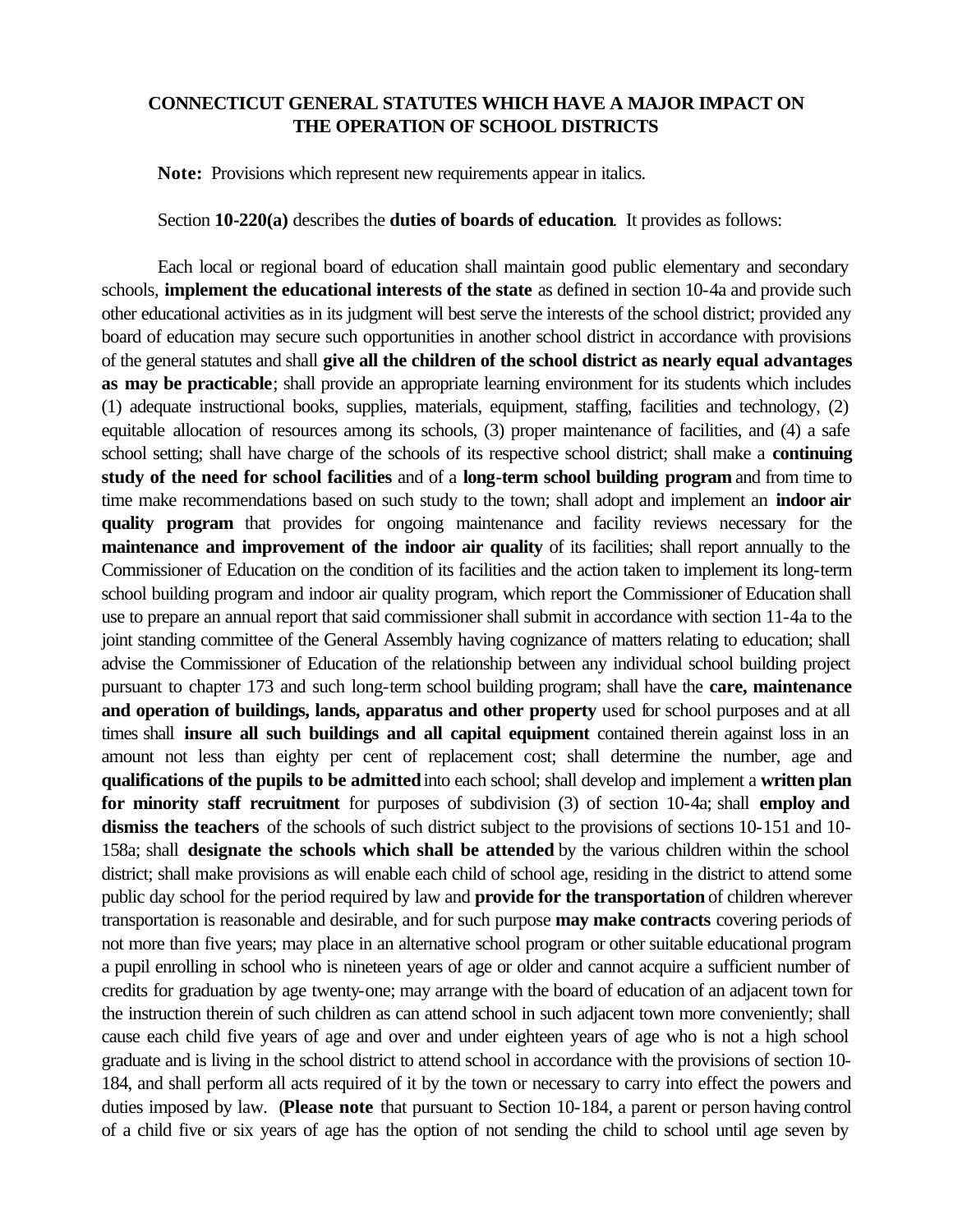## **CONNECTICUT GENERAL STATUTES WHICH HAVE A MAJOR IMPACT ON THE OPERATION OF SCHOOL DISTRICTS**

**Note:** Provisions which represent new requirements appear in italics.

Section **10-220(a)** describes the **duties of boards of education**. It provides as follows:

Each local or regional board of education shall maintain good public elementary and secondary schools, **implement the educational interests of the state** as defined in section 10-4a and provide such other educational activities as in its judgment will best serve the interests of the school district; provided any board of education may secure such opportunities in another school district in accordance with provisions of the general statutes and shall **give all the children of the school district as nearly equal advantages as may be practicable**; shall provide an appropriate learning environment for its students which includes (1) adequate instructional books, supplies, materials, equipment, staffing, facilities and technology, (2) equitable allocation of resources among its schools, (3) proper maintenance of facilities, and (4) a safe school setting; shall have charge of the schools of its respective school district; shall make a **continuing study of the need for school facilities** and of a **long-term school building program** and from time to time make recommendations based on such study to the town; shall adopt and implement an **indoor air quality program** that provides for ongoing maintenance and facility reviews necessary for the **maintenance and improvement of the indoor air quality** of its facilities; shall report annually to the Commissioner of Education on the condition of its facilities and the action taken to implement its long-term school building program and indoor air quality program, which report the Commissioner of Education shall use to prepare an annual report that said commissioner shall submit in accordance with section 11-4a to the joint standing committee of the General Assembly having cognizance of matters relating to education; shall advise the Commissioner of Education of the relationship between any individual school building project pursuant to chapter 173 and such long-term school building program; shall have the **care, maintenance and operation of buildings, lands, apparatus and other property** used for school purposes and at all times shall **insure all such buildings and all capital equipment** contained therein against loss in an amount not less than eighty per cent of replacement cost; shall determine the number, age and **qualifications of the pupils to be admitted** into each school; shall develop and implement a **written plan for minority staff recruitment** for purposes of subdivision (3) of section 10-4a; shall **employ and dismiss the teachers** of the schools of such district subject to the provisions of sections 10-151 and 10- 158a; shall **designate the schools which shall be attended** by the various children within the school district; shall make provisions as will enable each child of school age, residing in the district to attend some public day school for the period required by law and **provide for the transportation** of children wherever transportation is reasonable and desirable, and for such purpose **may make contracts** covering periods of not more than five years; may place in an alternative school program or other suitable educational program a pupil enrolling in school who is nineteen years of age or older and cannot acquire a sufficient number of credits for graduation by age twenty-one; may arrange with the board of education of an adjacent town for the instruction therein of such children as can attend school in such adjacent town more conveniently; shall cause each child five years of age and over and under eighteen years of age who is not a high school graduate and is living in the school district to attend school in accordance with the provisions of section 10- 184, and shall perform all acts required of it by the town or necessary to carry into effect the powers and duties imposed by law. (**Please note** that pursuant to Section 10-184, a parent or person having control of a child five or six years of age has the option of not sending the child to school until age seven by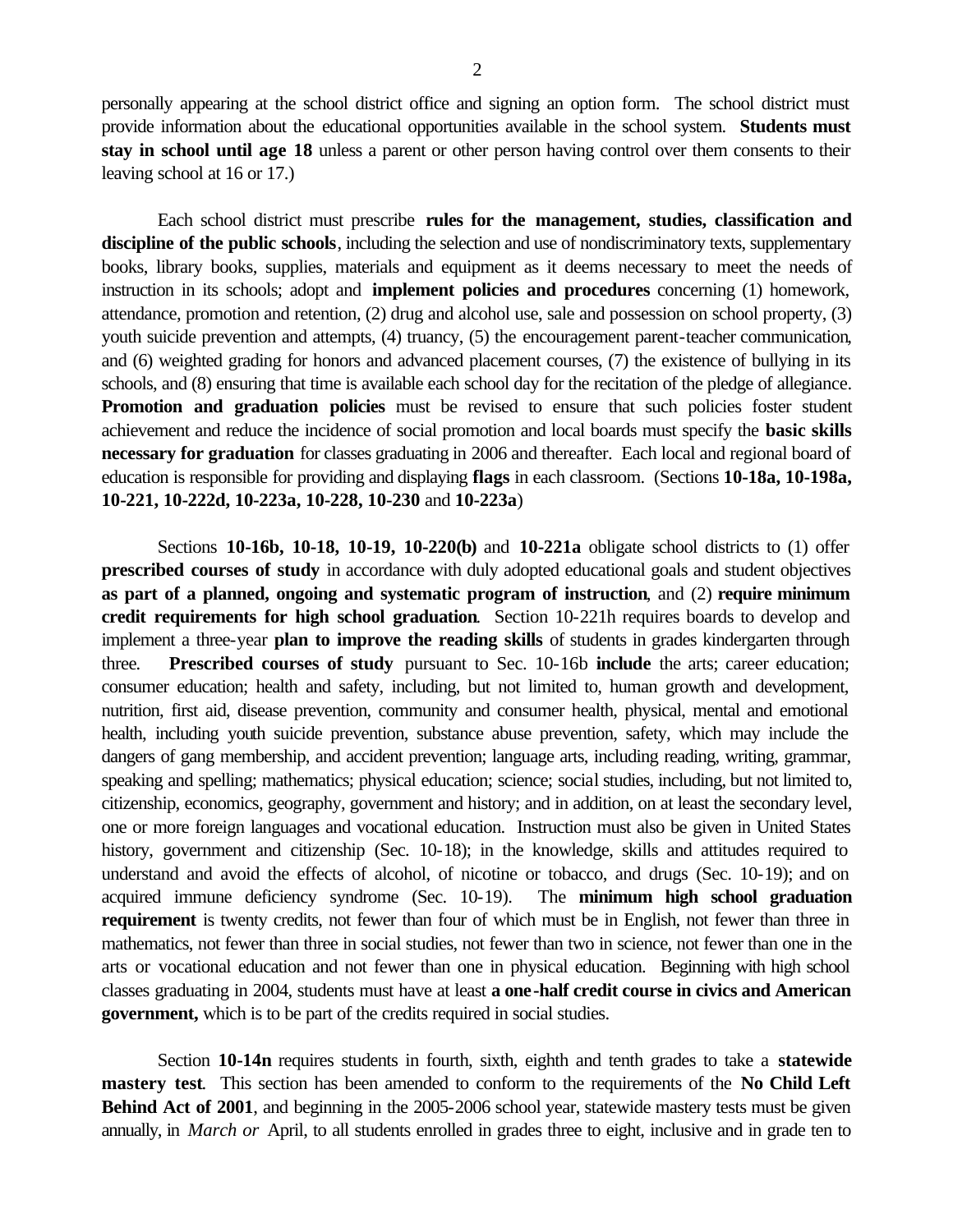personally appearing at the school district office and signing an option form. The school district must provide information about the educational opportunities available in the school system. **Students must stay in school until age 18** unless a parent or other person having control over them consents to their leaving school at 16 or 17.)

Each school district must prescribe **rules for the management, studies, classification and discipline of the public schools**, including the selection and use of nondiscriminatory texts, supplementary books, library books, supplies, materials and equipment as it deems necessary to meet the needs of instruction in its schools; adopt and **implement policies and procedures** concerning (1) homework, attendance, promotion and retention, (2) drug and alcohol use, sale and possession on school property, (3) youth suicide prevention and attempts, (4) truancy, (5) the encouragement parent-teacher communication*,*  and (6) weighted grading for honors and advanced placement courses, (7) the existence of bullying in its schools, and (8) ensuring that time is available each school day for the recitation of the pledge of allegiance. **Promotion and graduation policies** must be revised to ensure that such policies foster student achievement and reduce the incidence of social promotion and local boards must specify the **basic skills necessary for graduation** for classes graduating in 2006 and thereafter. Each local and regional board of education is responsible for providing and displaying **flags** in each classroom. (Sections **10-18a, 10-198a, 10-221, 10-222d, 10-223a, 10-228, 10-230** and **10-223a**)

Sections **10-16b, 10-18, 10-19, 10-220(b)** and **10-221a** obligate school districts to (1) offer **prescribed courses of study** in accordance with duly adopted educational goals and student objectives **as part of a planned, ongoing and systematic program of instruction**, and (2) **require minimum credit requirements for high school graduation**. Section 10-221h requires boards to develop and implement a three-year **plan to improve the reading skills** of students in grades kindergarten through three*.* **Prescribed courses of study** pursuant to Sec. 10-16b **include** the arts; career education; consumer education; health and safety, including, but not limited to, human growth and development, nutrition, first aid, disease prevention, community and consumer health, physical, mental and emotional health, including youth suicide prevention, substance abuse prevention, safety, which may include the dangers of gang membership, and accident prevention; language arts, including reading, writing, grammar, speaking and spelling; mathematics; physical education; science; social studies, including, but not limited to, citizenship, economics, geography, government and history; and in addition, on at least the secondary level, one or more foreign languages and vocational education. Instruction must also be given in United States history, government and citizenship (Sec. 10-18); in the knowledge, skills and attitudes required to understand and avoid the effects of alcohol, of nicotine or tobacco, and drugs (Sec. 10-19); and on acquired immune deficiency syndrome (Sec. 10-19). The **minimum high school graduation requirement** is twenty credits, not fewer than four of which must be in English, not fewer than three in mathematics, not fewer than three in social studies, not fewer than two in science, not fewer than one in the arts or vocational education and not fewer than one in physical education. Beginning with high school classes graduating in 2004, students must have at least **a one-half credit course in civics and American government,** which is to be part of the credits required in social studies.

Section **10-14n** requires students in fourth, sixth, eighth and tenth grades to take a **statewide mastery test**. This section has been amended to conform to the requirements of the **No Child Left Behind Act of 2001**, and beginning in the 2005-2006 school year, statewide mastery tests must be given annually, in *March or* April, to all students enrolled in grades three to eight, inclusive and in grade ten to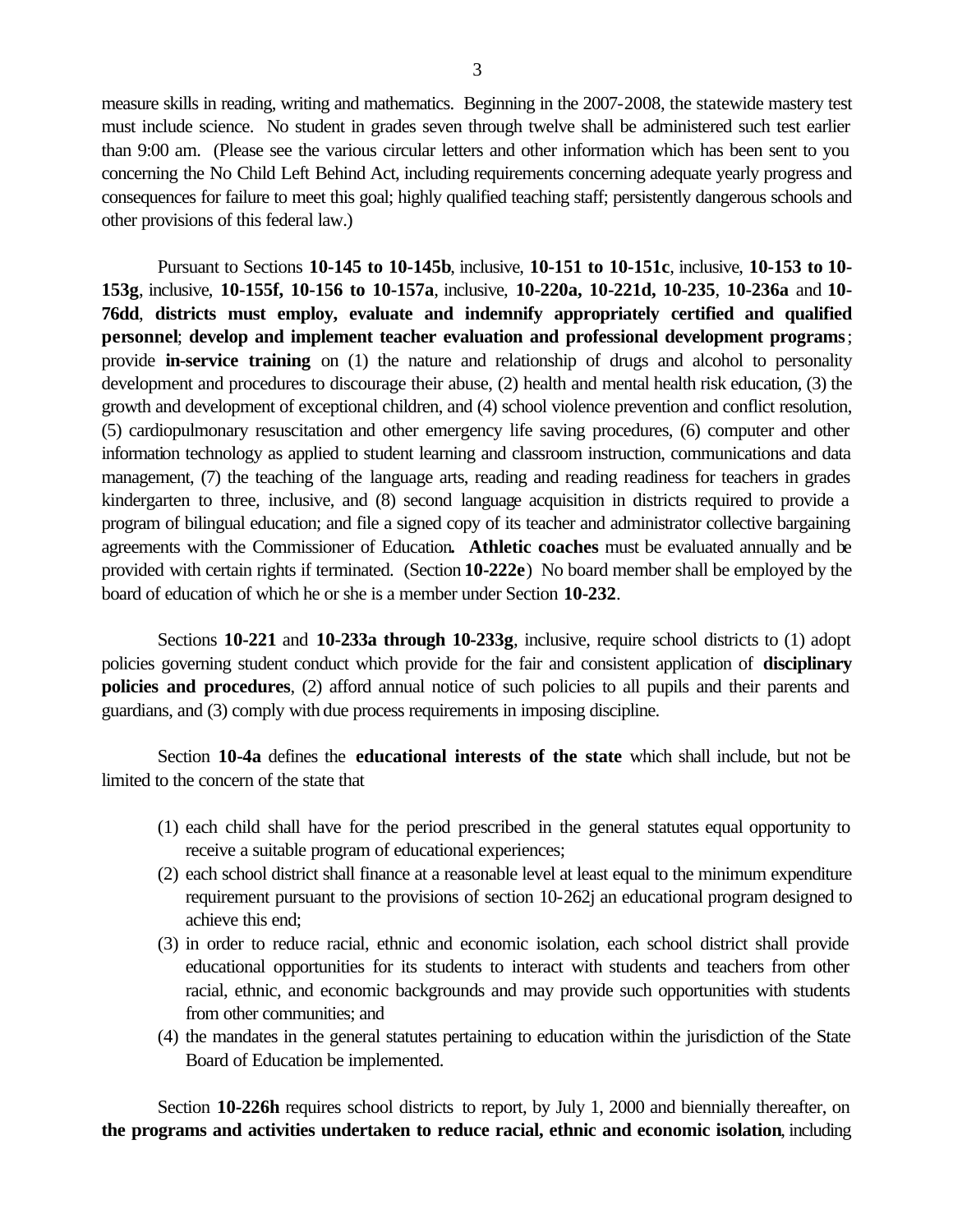measure skills in reading, writing and mathematics. Beginning in the 2007-2008, the statewide mastery test must include science. No student in grades seven through twelve shall be administered such test earlier than 9:00 am. (Please see the various circular letters and other information which has been sent to you concerning the No Child Left Behind Act, including requirements concerning adequate yearly progress and consequences for failure to meet this goal; highly qualified teaching staff; persistently dangerous schools and other provisions of this federal law.)

Pursuant to Sections **10-145 to 10-145b**, inclusive, **10-151 to 10-151c**, inclusive, **10-153 to 10- 153g**, inclusive, **10-155f, 10-156 to 10-157a**, inclusive, **10-220a, 10-221d, 10-235**, **10-236a** and **10- 76dd**, **districts must employ, evaluate and indemnify appropriately certified and qualified personnel**; **develop and implement teacher evaluation and professional development programs** ; provide **in-service training** on (1) the nature and relationship of drugs and alcohol to personality development and procedures to discourage their abuse, (2) health and mental health risk education, (3) the growth and development of exceptional children, and (4) school violence prevention and conflict resolution, (5) cardiopulmonary resuscitation and other emergency life saving procedures, (6) computer and other information technology as applied to student learning and classroom instruction, communications and data management, (7) the teaching of the language arts, reading and reading readiness for teachers in grades kindergarten to three*,* inclusive, and (8) second language acquisition in districts required to provide a program of bilingual education; and file a signed copy of its teacher and administrator collective bargaining agreements with the Commissioner of Education**. Athletic coaches** must be evaluated annually and be provided with certain rights if terminated. (Section **10-222e**) No board member shall be employed by the board of education of which he or she is a member under Section **10-232**.

Sections **10-221** and **10-233a through 10-233g**, inclusive, require school districts to (1) adopt policies governing student conduct which provide for the fair and consistent application of **disciplinary policies and procedures**, (2) afford annual notice of such policies to all pupils and their parents and guardians, and (3) comply with due process requirements in imposing discipline.

Section **10-4a** defines the **educational interests of the state** which shall include, but not be limited to the concern of the state that

- (1) each child shall have for the period prescribed in the general statutes equal opportunity to receive a suitable program of educational experiences;
- (2) each school district shall finance at a reasonable level at least equal to the minimum expenditure requirement pursuant to the provisions of section 10-262j an educational program designed to achieve this end;
- (3) in order to reduce racial, ethnic and economic isolation, each school district shall provide educational opportunities for its students to interact with students and teachers from other racial, ethnic, and economic backgrounds and may provide such opportunities with students from other communities; and
- (4) the mandates in the general statutes pertaining to education within the jurisdiction of the State Board of Education be implemented.

Section **10-226h** requires school districts to report, by July 1, 2000 and biennially thereafter, on **the programs and activities undertaken to reduce racial, ethnic and economic isolation**, including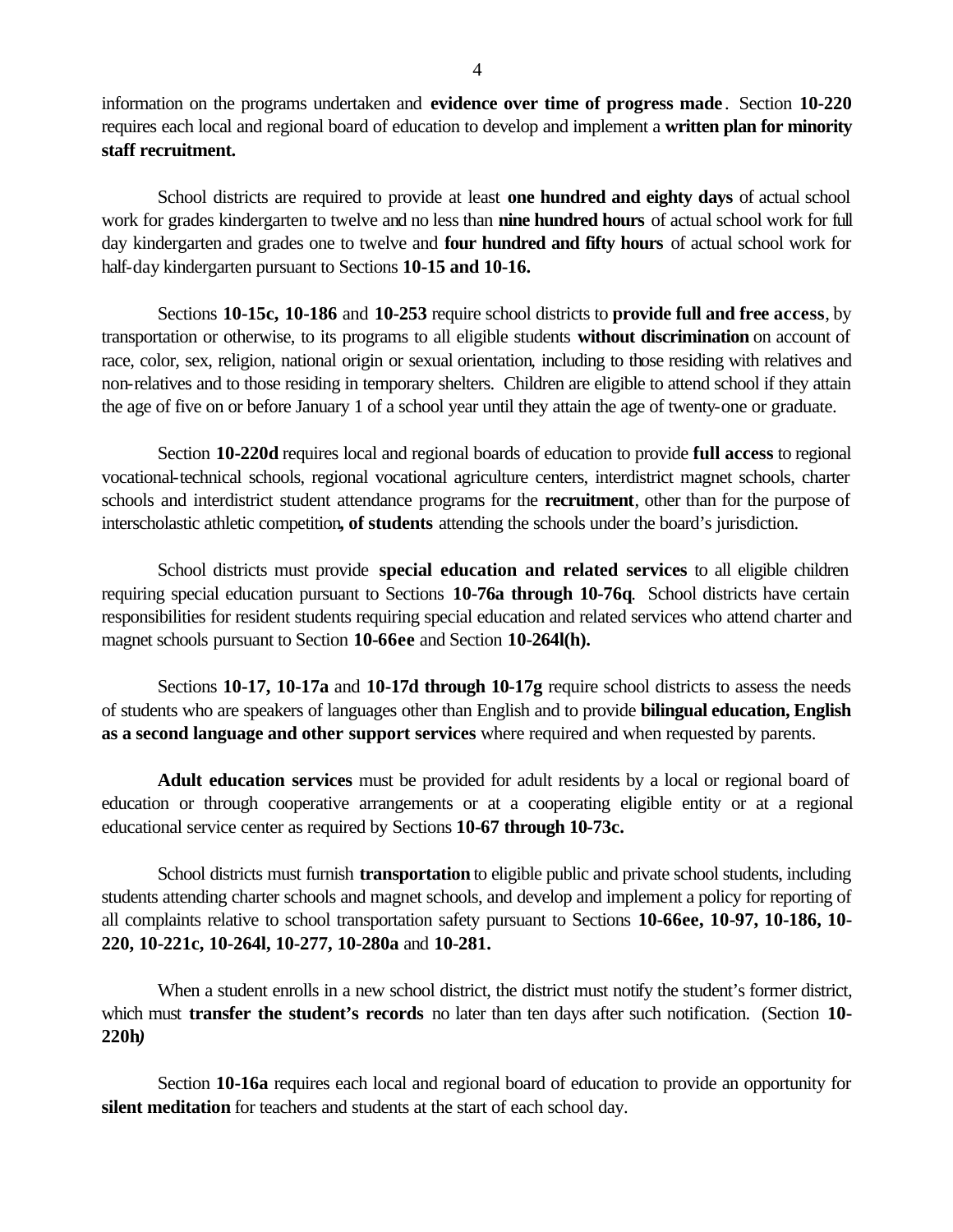information on the programs undertaken and **evidence over time of progress made** . Section **10-220**  requires each local and regional board of education to develop and implement a **written plan for minority staff recruitment.** 

School districts are required to provide at least **one hundred and eighty days** of actual school work for grades kindergarten to twelve and no less than **nine hundred hours** of actual school work for full day kindergarten and grades one to twelve and **four hundred and fifty hours** of actual school work for half-day kindergarten pursuant to Sections **10-15 and 10-16.** 

Sections **10-15c, 10-186** and **10-253** require school districts to **provide full and free access**, by transportation or otherwise, to its programs to all eligible students **without discrimination** on account of race, color, sex, religion, national origin or sexual orientation*,* including to those residing with relatives and non-relatives and to those residing in temporary shelters. Children are eligible to attend school if they attain the age of five on or before January 1 of a school year until they attain the age of twenty-one or graduate.

Section **10-220d** requires local and regional boards of education to provide **full access** to regional vocational-technical schools, regional vocational agriculture centers, interdistrict magnet schools, charter schools and interdistrict student attendance programs for the **recruitment**, other than for the purpose of interscholastic athletic competition**, of students** attending the schools under the board's jurisdiction.

School districts must provide **special education and related services** to all eligible children requiring special education pursuant to Sections **10-76a through 10-76q**. School districts have certain responsibilities for resident students requiring special education and related services who attend charter and magnet schools pursuant to Section **10-66ee** and Section **10-264l(h).** 

Sections **10-17, 10-17a** and **10-17d through 10-17g** require school districts to assess the needs of students who are speakers of languages other than English and to provide **bilingual education, English as a second language and other support services** where required and when requested by parents.

**Adult education services** must be provided for adult residents by a local or regional board of education or through cooperative arrangements or at a cooperating eligible entity or at a regional educational service center as required by Sections **10-67 through 10-73c.** 

School districts must furnish **transportation** to eligible public and private school students, including students attending charter schools and magnet schools, and develop and implement a policy for reporting of all complaints relative to school transportation safety pursuant to Sections **10-66ee, 10-97, 10-186, 10- 220, 10-221c, 10-264l, 10-277, 10-280a** and **10-281.** 

When a student enrolls in a new school district, the district must notify the student's former district, which must **transfer the student's records** no later than ten days after such notification. (Section **10- 220h***)* 

Section **10-16a** requires each local and regional board of education to provide an opportunity for **silent meditation** for teachers and students at the start of each school day.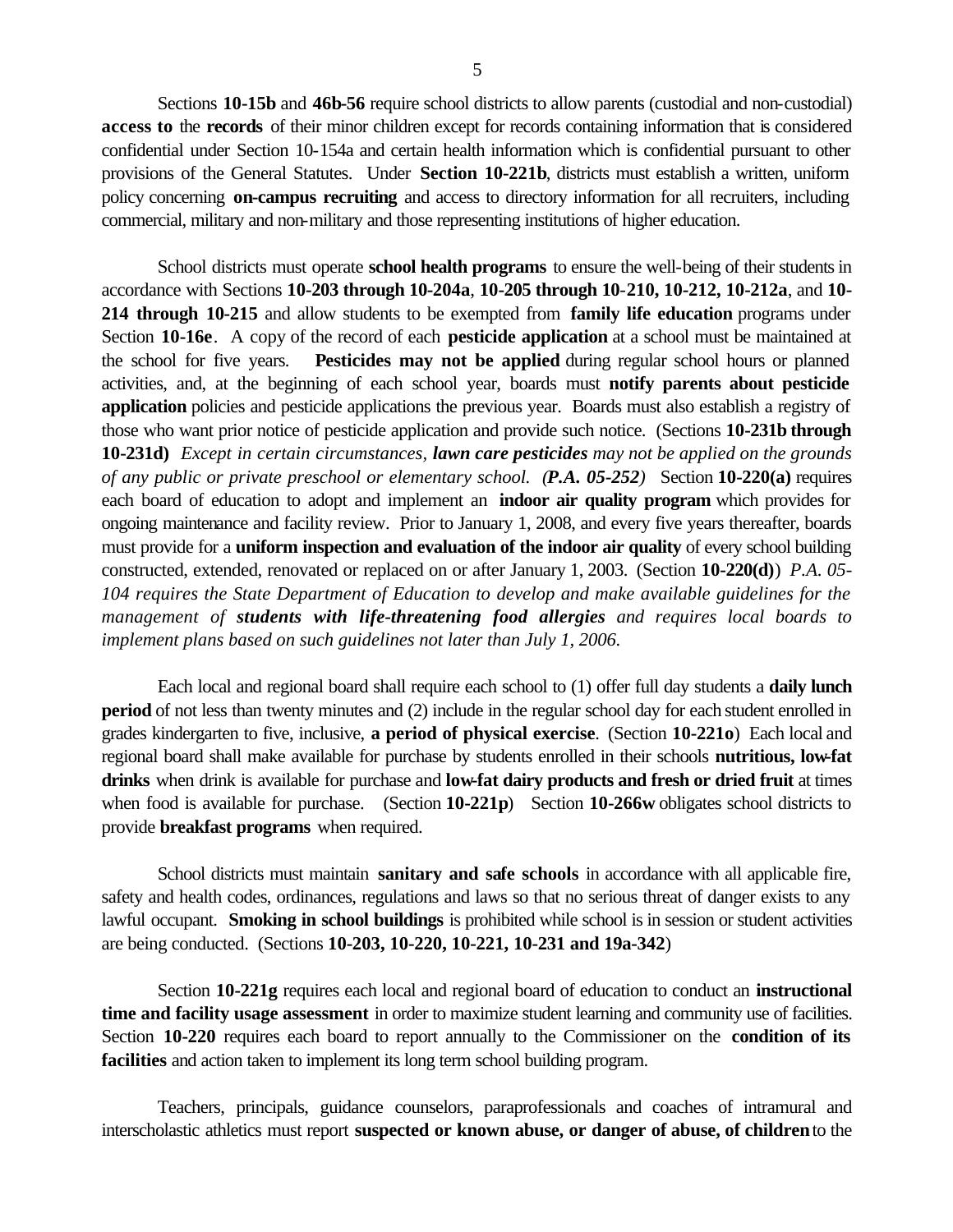Sections **10-15b** and **46b-56** require school districts to allow parents (custodial and non-custodial) **access to** the **records** of their minor children except for records containing information that is considered confidential under Section 10-154a and certain health information which is confidential pursuant to other provisions of the General Statutes. Under **Section 10-221b**, districts must establish a written, uniform policy concerning **on-campus recruiting** and access to directory information for all recruiters, including commercial, military and non-military and those representing institutions of higher education.

School districts must operate **school health programs** to ensure the well-being of their students in accordance with Sections **10-203 through 10-204a**, **10-205 through 10**-**210, 10-212, 10-212a**, and **10- 214 through 10-215** and allow students to be exempted from **family life education** programs under Section **10-16e**. A copy of the record of each **pesticide application** at a school must be maintained at the school for five years. **Pesticides may not be applied** during regular school hours or planned activities, and, at the beginning of each school year, boards must **notify parents about pesticide application** policies and pesticide applications the previous year. Boards must also establish a registry of those who want prior notice of pesticide application and provide such notice. (Sections **10-231b through 10-231d)** *Except in certain circumstances, lawn care pesticides may not be applied on the grounds of any public or private preschool or elementary school. (P.A. 05-252)* Section **10-220(a)** requires each board of education to adopt and implement an **indoor air quality program** which provides for ongoing maintenance and facility review. Prior to January 1, 2008, and every five years thereafter, boards must provide for a **uniform inspection and evaluation of the indoor air quality** of every school building constructed, extended, renovated or replaced on or after January 1, 2003. (Section **10-220(d)**) *P.A. 05- 104 requires the State Department of Education to develop and make available guidelines for the management of students with life-threatening food allergies and requires local boards to implement plans based on such guidelines not later than July 1, 2006.* 

Each local and regional board shall require each school to (1) offer full day students a **daily lunch period** of not less than twenty minutes and (2) include in the regular school day for each student enrolled in grades kindergarten to five, inclusive, **a period of physical exercise**. (Section **10-221o**) Each local and regional board shall make available for purchase by students enrolled in their schools **nutritious, low-fat drinks** when drink is available for purchase and **low-fat dairy products and fresh or dried fruit** at times when food is available for purchase. (Section 10-221p) Section 10-266w obligates school districts to provide **breakfast programs** when required.

School districts must maintain **sanitary and safe schools** in accordance with all applicable fire, safety and health codes, ordinances, regulations and laws so that no serious threat of danger exists to any lawful occupant. **Smoking in school buildings** is prohibited while school is in session or student activities are being conducted. (Sections **10-203, 10-220, 10-221, 10-231 and 19a-342**)

Section **10-221g** requires each local and regional board of education to conduct an **instructional time and facility usage assessment** in order to maximize student learning and community use of facilities. Section **10-220** requires each board to report annually to the Commissioner on the **condition of its facilities** and action taken to implement its long term school building program.

Teachers, principals, guidance counselors, paraprofessionals and coaches of intramural and interscholastic athletics must report **suspected or known abuse, or danger of abuse, of children** to the